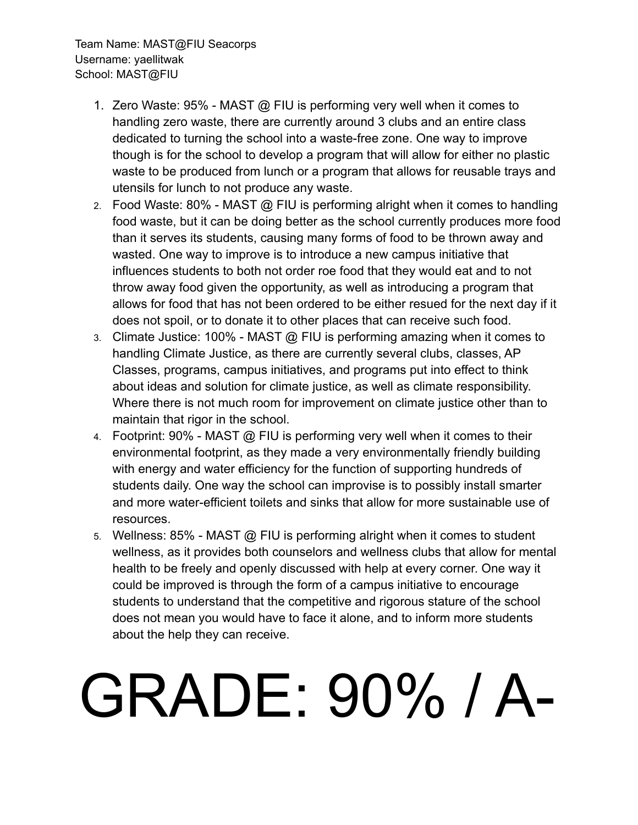Team Name: MAST@FIU Seacorps Username: yaellitwak School: MAST@FIU

- 1. Zero Waste: 95% MAST @ FIU is performing very well when it comes to handling zero waste, there are currently around 3 clubs and an entire class dedicated to turning the school into a waste-free zone. One way to improve though is for the school to develop a program that will allow for either no plastic waste to be produced from lunch or a program that allows for reusable trays and utensils for lunch to not produce any waste.
- 2. Food Waste: 80% MAST @ FIU is performing alright when it comes to handling food waste, but it can be doing better as the school currently produces more food than it serves its students, causing many forms of food to be thrown away and wasted. One way to improve is to introduce a new campus initiative that influences students to both not order roe food that they would eat and to not throw away food given the opportunity, as well as introducing a program that allows for food that has not been ordered to be either resued for the next day if it does not spoil, or to donate it to other places that can receive such food.
- 3. Climate Justice: 100% MAST @ FIU is performing amazing when it comes to handling Climate Justice, as there are currently several clubs, classes, AP Classes, programs, campus initiatives, and programs put into effect to think about ideas and solution for climate justice, as well as climate responsibility. Where there is not much room for improvement on climate justice other than to maintain that rigor in the school.
- 4. Footprint: 90% MAST @ FIU is performing very well when it comes to their environmental footprint, as they made a very environmentally friendly building with energy and water efficiency for the function of supporting hundreds of students daily. One way the school can improvise is to possibly install smarter and more water-efficient toilets and sinks that allow for more sustainable use of resources.
- 5. Wellness: 85% MAST @ FIU is performing alright when it comes to student wellness, as it provides both counselors and wellness clubs that allow for mental health to be freely and openly discussed with help at every corner. One way it could be improved is through the form of a campus initiative to encourage students to understand that the competitive and rigorous stature of the school does not mean you would have to face it alone, and to inform more students about the help they can receive.

## GRADE: 90% / A-